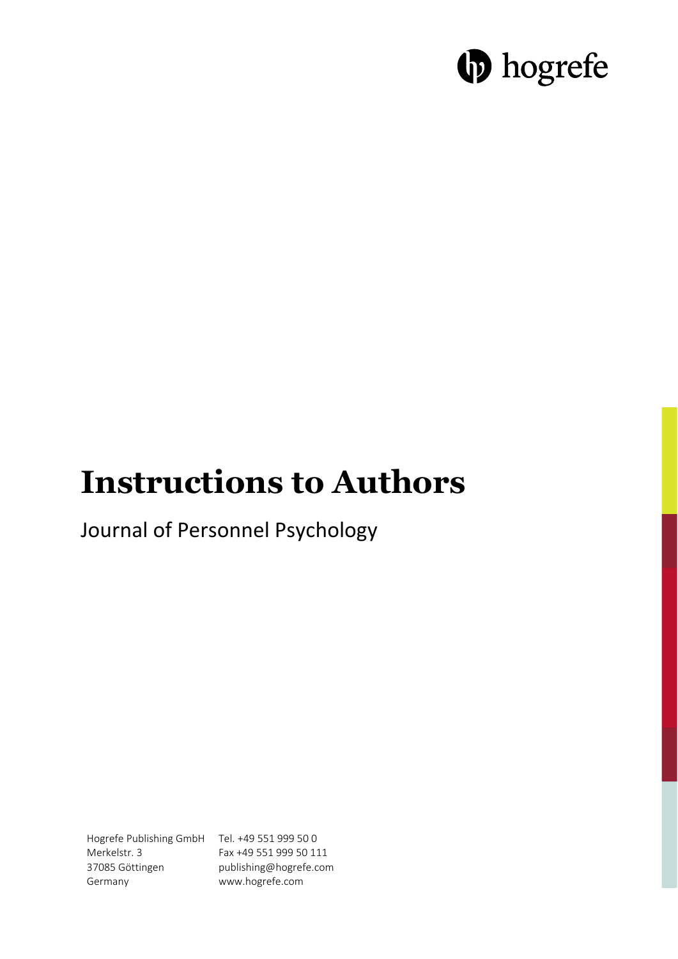# **D** hogrefe

# **Instructions to Authors**

Journal of Personnel Psychology

Hogrefe Publishing GmbH Tel. +49 551 999 50 0 Merkelstr. 3 37085 Göttingen Germany Fax +49 551 999 50 111 publishing@hogrefe.com www.hogrefe.com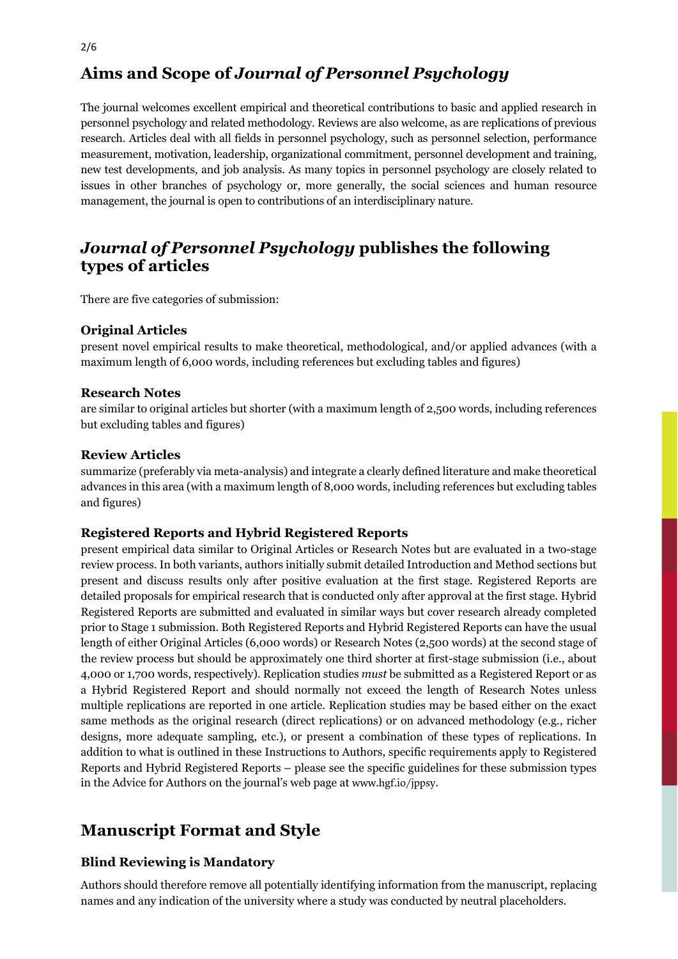## **Aims and Scope of** *Journal of Personnel Psychology*

The journal welcomes excellent empirical and theoretical contributions to basic and applied research in personnel psychology and related methodology. Reviews are also welcome, as are replications of previous research. Articles deal with all fields in personnel psychology, such as personnel selection, performance measurement, motivation, leadership, organizational commitment, personnel development and training, new test developments, and job analysis. As many topics in personnel psychology are closely related to issues in other branches of psychology or, more generally, the social sciences and human resource management, the journal is open to contributions of an interdisciplinary nature.

## *Journal of Personnel Psychology* **publishes the following types of articles**

There are five categories of submission:

#### **Original Articles**

present novel empirical results to make theoretical, methodological, and/or applied advances (with a maximum length of 6,000 words, including references but excluding tables and figures)

#### **Research Notes**

are similar to original articles but shorter (with a maximum length of 2,500 words, including references but excluding tables and figures)

#### **Review Articles**

summarize (preferably via meta-analysis) and integrate a clearly defined literature and make theoretical advances in this area (with a maximum length of 8,000 words, including references but excluding tables and figures)

#### **Registered Reports and Hybrid Registered Reports**

present empirical data similar to Original Articles or Research Notes but are evaluated in a two-stage review process. In both variants, authors initially submit detailed Introduction and Method sections but present and discuss results only after positive evaluation at the first stage. Registered Reports are detailed proposals for empirical research that is conducted only after approval at the first stage. Hybrid Registered Reports are submitted and evaluated in similar ways but cover research already completed prior to Stage 1 submission. Both Registered Reports and Hybrid Registered Reports can have the usual length of either Original Articles (6,000 words) or Research Notes (2,500 words) at the second stage of the review process but should be approximately one third shorter at first-stage submission (i.e., about 4,000 or 1,700 words, respectively). Replication studies *must* be submitted as a Registered Report or as a Hybrid Registered Report and should normally not exceed the length of Research Notes unless multiple replications are reported in one article. Replication studies may be based either on the exact same methods as the original research (direct replications) or on advanced methodology (e.g., richer designs, more adequate sampling, etc.), or present a combination of these types of replications. In addition to what is outlined in these Instructions to Authors, specific requirements apply to Registered Reports and Hybrid Registered Reports – please see the specific guidelines for these submission types in the Advice for Authors on the journal's web page at www.hgf.io/jppsy.

## **Manuscript Format and Style**

### **Blind Reviewing is Mandatory**

Authors should therefore remove all potentially identifying information from the manuscript, replacing names and any indication of the university where a study was conducted by neutral placeholders.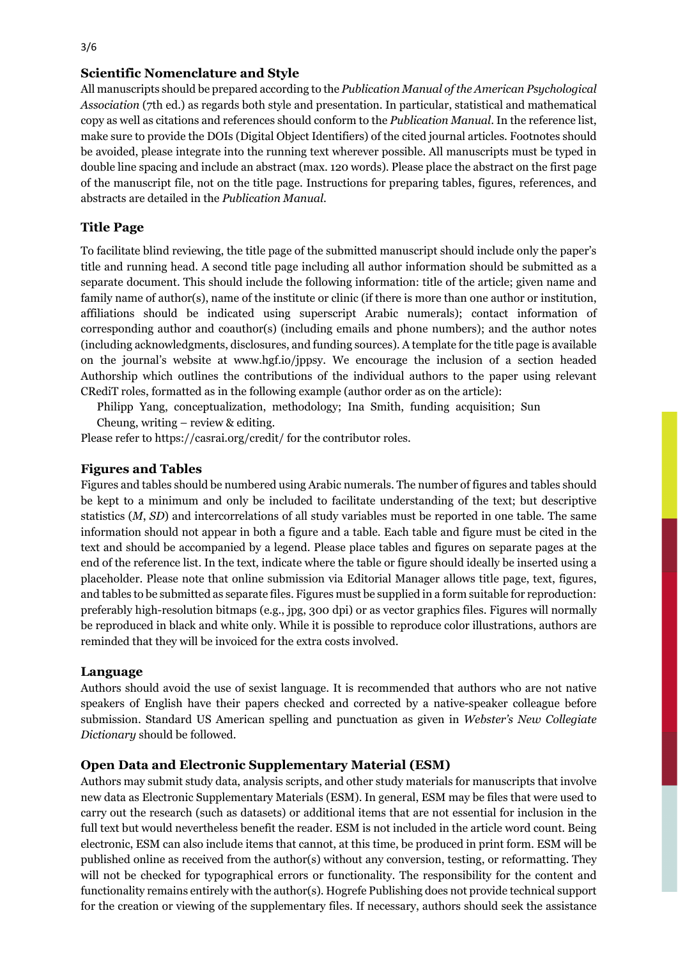#### **Scientific Nomenclature and Style**

All manuscripts should be prepared according to the *Publication Manual of the American Psychological Association* (7th ed.) as regards both style and presentation. In particular, statistical and mathematical copy as well as citations and references should conform to the *Publication Manual*. In the reference list, make sure to provide the DOIs (Digital Object Identifiers) of the cited journal articles. Footnotes should be avoided, please integrate into the running text wherever possible. All manuscripts must be typed in double line spacing and include an abstract (max. 120 words). Please place the abstract on the first page of the manuscript file, not on the title page. Instructions for preparing tables, figures, references, and abstracts are detailed in the *Publication Manual*.

#### **Title Page**

To facilitate blind reviewing, the title page of the submitted manuscript should include only the paper's title and running head. A second title page including all author information should be submitted as a separate document. This should include the following information: title of the article; given name and family name of author(s), name of the institute or clinic (if there is more than one author or institution, affiliations should be indicated using superscript Arabic numerals); contact information of corresponding author and coauthor(s) (including emails and phone numbers); and the author notes (including acknowledgments, disclosures, and funding sources). A template for the title page is available on the journal's website at www.hgf.io/jppsy. We encourage the inclusion of a section headed Authorship which outlines the contributions of the individual authors to the paper using relevant CRediT roles, formatted as in the following example (author order as on the article):

Philipp Yang, conceptualization, methodology; Ina Smith, funding acquisition; Sun

Cheung, writing – review & editing.

Please refer to https://casrai.org/credit/ for the contributor roles.

#### **Figures and Tables**

Figures and tables should be numbered using Arabic numerals. The number of figures and tables should be kept to a minimum and only be included to facilitate understanding of the text; but descriptive statistics (*M*, *SD*) and intercorrelations of all study variables must be reported in one table. The same information should not appear in both a figure and a table. Each table and figure must be cited in the text and should be accompanied by a legend. Please place tables and figures on separate pages at the end of the reference list. In the text, indicate where the table or figure should ideally be inserted using a placeholder. Please note that online submission via Editorial Manager allows title page, text, figures, and tables to be submitted as separate files. Figures must be supplied in a form suitable for reproduction: preferably high-resolution bitmaps (e.g., jpg, 300 dpi) or as vector graphics files. Figures will normally be reproduced in black and white only. While it is possible to reproduce color illustrations, authors are reminded that they will be invoiced for the extra costs involved.

#### **Language**

Authors should avoid the use of sexist language. It is recommended that authors who are not native speakers of English have their papers checked and corrected by a native-speaker colleague before submission. Standard US American spelling and punctuation as given in *Webster's New Collegiate Dictionary* should be followed.

#### **Open Data and Electronic Supplementary Material (ESM)**

Authors may submit study data, analysis scripts, and other study materials for manuscripts that involve new data as Electronic Supplementary Materials (ESM). In general, ESM may be files that were used to carry out the research (such as datasets) or additional items that are not essential for inclusion in the full text but would nevertheless benefit the reader. ESM is not included in the article word count. Being electronic, ESM can also include items that cannot, at this time, be produced in print form. ESM will be published online as received from the author(s) without any conversion, testing, or reformatting. They will not be checked for typographical errors or functionality. The responsibility for the content and functionality remains entirely with the author(s). Hogrefe Publishing does not provide technical support for the creation or viewing of the supplementary files. If necessary, authors should seek the assistance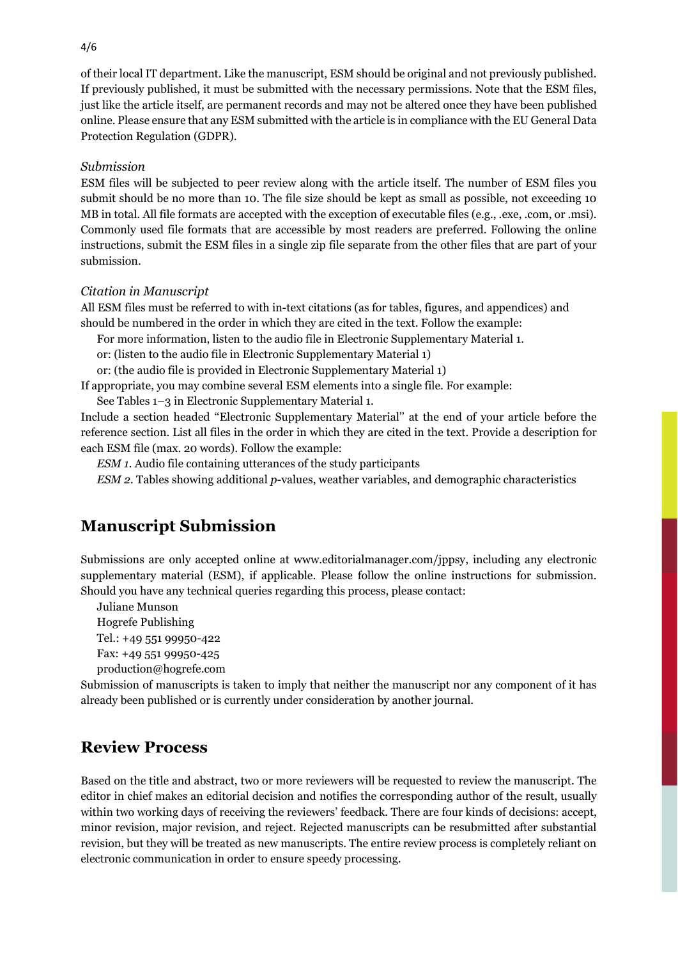of their local IT department. Like the manuscript, ESM should be original and not previously published. If previously published, it must be submitted with the necessary permissions. Note that the ESM files, just like the article itself, are permanent records and may not be altered once they have been published online. Please ensure that any ESM submitted with the article is in compliance with the EU General Data Protection Regulation (GDPR).

#### *Submission*

ESM files will be subjected to peer review along with the article itself. The number of ESM files you submit should be no more than 10. The file size should be kept as small as possible, not exceeding 10 MB in total. All file formats are accepted with the exception of executable files (e.g., .exe, .com, or .msi). Commonly used file formats that are accessible by most readers are preferred. Following the online instructions, submit the ESM files in a single zip file separate from the other files that are part of your submission.

#### *Citation in Manuscript*

All ESM files must be referred to with in-text citations (as for tables, figures, and appendices) and should be numbered in the order in which they are cited in the text. Follow the example:

For more information, listen to the audio file in Electronic Supplementary Material 1.

or: (listen to the audio file in Electronic Supplementary Material 1)

or: (the audio file is provided in Electronic Supplementary Material 1)

If appropriate, you may combine several ESM elements into a single file. For example:

See Tables 1–3 in Electronic Supplementary Material 1.

Include a section headed ''Electronic Supplementary Material'' at the end of your article before the reference section. List all files in the order in which they are cited in the text. Provide a description for each ESM file (max. 20 words). Follow the example:

*ESM 1.* Audio file containing utterances of the study participants

*ESM 2.* Tables showing additional *p*-values, weather variables, and demographic characteristics

### **Manuscript Submission**

Submissions are only accepted online at www.editorialmanager.com/jppsy, including any electronic supplementary material (ESM), if applicable. Please follow the online instructions for submission. Should you have any technical queries regarding this process, please contact:

Juliane Munson

Hogrefe Publishing

Tel.: +49 551 99950-422

Fax: +49 551 99950-425

production@hogrefe.com

Submission of manuscripts is taken to imply that neither the manuscript nor any component of it has already been published or is currently under consideration by another journal.

### **Review Process**

Based on the title and abstract, two or more reviewers will be requested to review the manuscript. The editor in chief makes an editorial decision and notifies the corresponding author of the result, usually within two working days of receiving the reviewers' feedback. There are four kinds of decisions: accept, minor revision, major revision, and reject. Rejected manuscripts can be resubmitted after substantial revision, but they will be treated as new manuscripts. The entire review process is completely reliant on electronic communication in order to ensure speedy processing.

4/6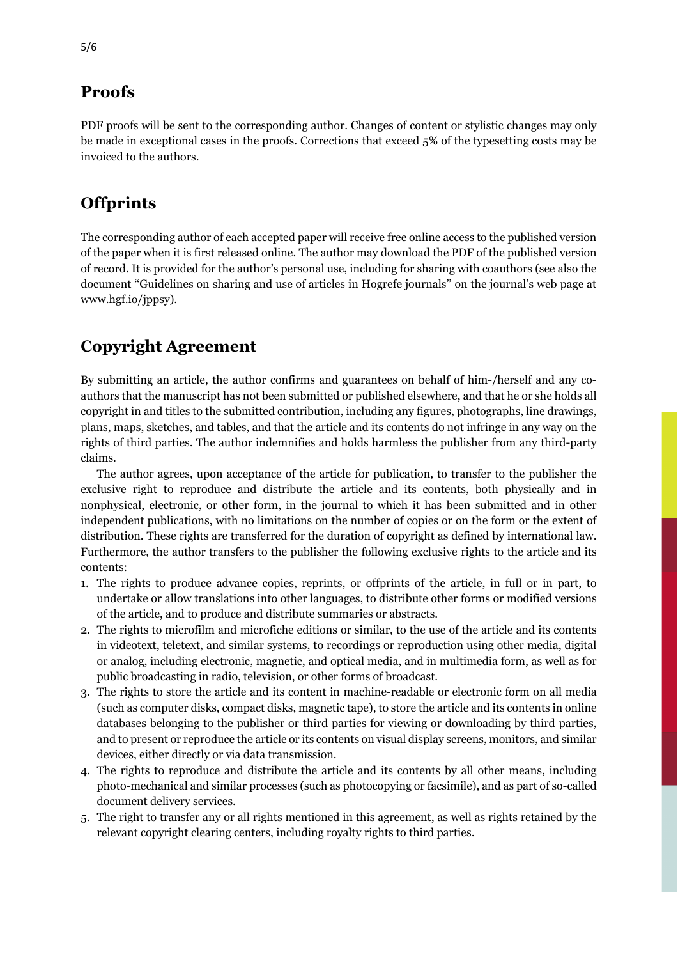## **Proofs**

PDF proofs will be sent to the corresponding author. Changes of content or stylistic changes may only be made in exceptional cases in the proofs. Corrections that exceed 5% of the typesetting costs may be invoiced to the authors.

## **Offprints**

The corresponding author of each accepted paper will receive free online access to the published version of the paper when it is first released online. The author may download the PDF of the published version of record. It is provided for the author's personal use, including for sharing with coauthors (see also the document ''Guidelines on sharing and use of articles in Hogrefe journals'' on the journal's web page at www.hgf.io/jppsy).

## **Copyright Agreement**

By submitting an article, the author confirms and guarantees on behalf of him-/herself and any coauthors that the manuscript has not been submitted or published elsewhere, and that he or she holds all copyright in and titles to the submitted contribution, including any figures, photographs, line drawings, plans, maps, sketches, and tables, and that the article and its contents do not infringe in any way on the rights of third parties. The author indemnifies and holds harmless the publisher from any third-party claims.

The author agrees, upon acceptance of the article for publication, to transfer to the publisher the exclusive right to reproduce and distribute the article and its contents, both physically and in nonphysical, electronic, or other form, in the journal to which it has been submitted and in other independent publications, with no limitations on the number of copies or on the form or the extent of distribution. These rights are transferred for the duration of copyright as defined by international law. Furthermore, the author transfers to the publisher the following exclusive rights to the article and its contents:

- 1. The rights to produce advance copies, reprints, or offprints of the article, in full or in part, to undertake or allow translations into other languages, to distribute other forms or modified versions of the article, and to produce and distribute summaries or abstracts.
- 2. The rights to microfilm and microfiche editions or similar, to the use of the article and its contents in videotext, teletext, and similar systems, to recordings or reproduction using other media, digital or analog, including electronic, magnetic, and optical media, and in multimedia form, as well as for public broadcasting in radio, television, or other forms of broadcast.
- 3. The rights to store the article and its content in machine-readable or electronic form on all media (such as computer disks, compact disks, magnetic tape), to store the article and its contents in online databases belonging to the publisher or third parties for viewing or downloading by third parties, and to present or reproduce the article or its contents on visual display screens, monitors, and similar devices, either directly or via data transmission.
- 4. The rights to reproduce and distribute the article and its contents by all other means, including photo-mechanical and similar processes (such as photocopying or facsimile), and as part of so-called document delivery services.
- 5. The right to transfer any or all rights mentioned in this agreement, as well as rights retained by the relevant copyright clearing centers, including royalty rights to third parties.